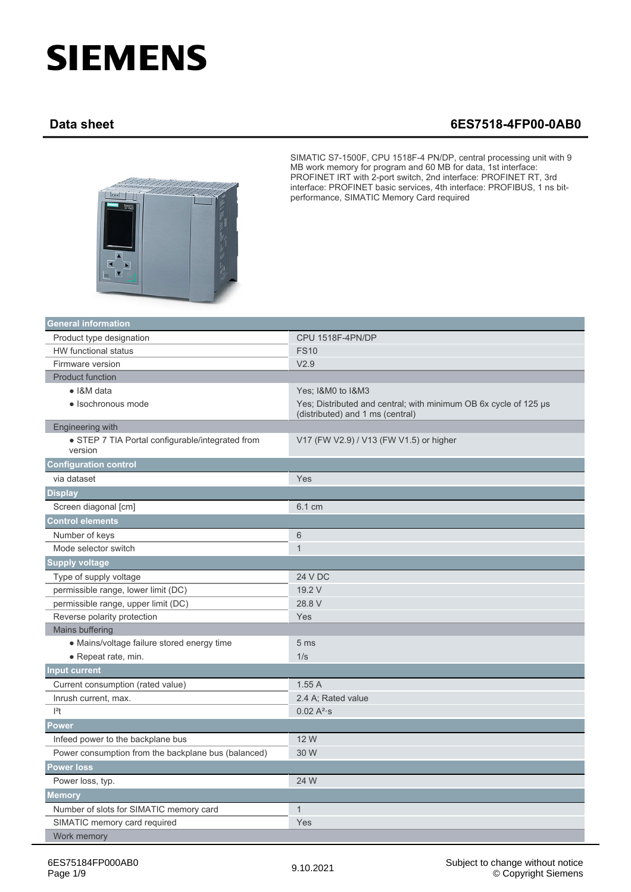## **SIEMENS**

## **Data sheet 6ES7518-4FP00-0AB0**



SIMATIC S7-1500F, CPU 1518F-4 PN/DP, central processing unit with 9 MB work memory for program and 60 MB for data, 1st interface: PROFINET IRT with 2-port switch, 2nd interface: PROFINET RT, 3rd interface: PROFINET basic services, 4th interface: PROFIBUS, 1 ns bitperformance, SIMATIC Memory Card required

| <b>General information</b>                                  |                                                                                                      |
|-------------------------------------------------------------|------------------------------------------------------------------------------------------------------|
| Product type designation                                    | CPU 1518F-4PN/DP                                                                                     |
| HW functional status                                        | <b>FS10</b>                                                                                          |
| Firmware version                                            | V2.9                                                                                                 |
| <b>Product function</b>                                     |                                                                                                      |
| • I&M data                                                  | Yes; I&M0 to I&M3                                                                                    |
| · Isochronous mode                                          | Yes; Distributed and central; with minimum OB 6x cycle of 125 µs<br>(distributed) and 1 ms (central) |
| Engineering with                                            |                                                                                                      |
| • STEP 7 TIA Portal configurable/integrated from<br>version | V17 (FW V2.9) / V13 (FW V1.5) or higher                                                              |
| <b>Configuration control</b>                                |                                                                                                      |
| via dataset                                                 | Yes                                                                                                  |
| <b>Display</b>                                              |                                                                                                      |
| Screen diagonal [cm]                                        | 6.1 cm                                                                                               |
| <b>Control elements</b>                                     |                                                                                                      |
| Number of keys                                              | 6                                                                                                    |
| Mode selector switch                                        | $\mathbf{1}$                                                                                         |
| <b>Supply voltage</b>                                       |                                                                                                      |
| Type of supply voltage                                      | <b>24 V DC</b>                                                                                       |
| permissible range, lower limit (DC)                         | 19.2 V                                                                                               |
| permissible range, upper limit (DC)                         | 28.8 V                                                                                               |
| Reverse polarity protection                                 | Yes                                                                                                  |
| Mains buffering                                             |                                                                                                      |
| • Mains/voltage failure stored energy time                  | 5 <sub>ms</sub>                                                                                      |
| • Repeat rate, min.                                         | 1/s                                                                                                  |
| <b>Input current</b>                                        |                                                                                                      |
| Current consumption (rated value)                           | 1.55A                                                                                                |
| Inrush current, max.                                        | 2.4 A; Rated value                                                                                   |
| $ ^{2}t$                                                    | $0.02 A^{2}$ s                                                                                       |
| <b>Power</b>                                                |                                                                                                      |
| Infeed power to the backplane bus                           | 12 W                                                                                                 |
| Power consumption from the backplane bus (balanced)         | 30 W                                                                                                 |
| <b>Power loss</b>                                           |                                                                                                      |
| Power loss, typ.                                            | 24 W                                                                                                 |
| <b>Memory</b>                                               |                                                                                                      |
| Number of slots for SIMATIC memory card                     | $\mathbf{1}$                                                                                         |
| SIMATIC memory card required                                | Yes                                                                                                  |
| Work memory                                                 |                                                                                                      |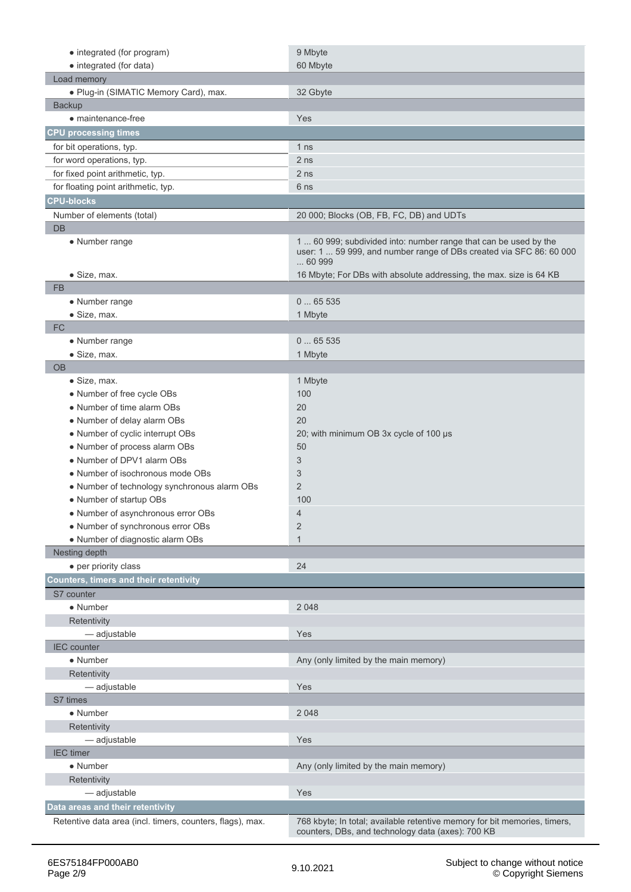| • integrated (for program)                                | 9 Mbyte                                                                                                                                          |
|-----------------------------------------------------------|--------------------------------------------------------------------------------------------------------------------------------------------------|
| • integrated (for data)                                   | 60 Mbyte                                                                                                                                         |
| Load memory                                               |                                                                                                                                                  |
| • Plug-in (SIMATIC Memory Card), max.                     | 32 Gbyte                                                                                                                                         |
| Backup                                                    |                                                                                                                                                  |
| • maintenance-free                                        | Yes                                                                                                                                              |
| <b>CPU processing times</b>                               |                                                                                                                                                  |
| for bit operations, typ.                                  | 1 <sub>ns</sub>                                                                                                                                  |
| for word operations, typ.                                 | 2 <sub>ns</sub>                                                                                                                                  |
| for fixed point arithmetic, typ.                          | 2 <sub>ns</sub>                                                                                                                                  |
| for floating point arithmetic, typ.                       | 6 ns                                                                                                                                             |
| <b>CPU-blocks</b>                                         |                                                                                                                                                  |
| Number of elements (total)                                | 20 000; Blocks (OB, FB, FC, DB) and UDTs                                                                                                         |
| <b>DB</b>                                                 |                                                                                                                                                  |
| • Number range                                            | 1  60 999; subdivided into: number range that can be used by the<br>user: 1  59 999, and number range of DBs created via SFC 86: 60 000<br>60999 |
| • Size, max.                                              | 16 Mbyte; For DBs with absolute addressing, the max. size is 64 KB                                                                               |
| <b>FB</b>                                                 |                                                                                                                                                  |
| • Number range                                            | 065535                                                                                                                                           |
| • Size, max.                                              | 1 Mbyte                                                                                                                                          |
| <b>FC</b>                                                 |                                                                                                                                                  |
| • Number range                                            | 065535                                                                                                                                           |
| • Size, max.                                              | 1 Mbyte                                                                                                                                          |
| <b>OB</b>                                                 |                                                                                                                                                  |
| $\bullet$ Size, max.                                      | 1 Mbyte                                                                                                                                          |
| • Number of free cycle OBs                                | 100                                                                                                                                              |
| • Number of time alarm OBs                                | 20                                                                                                                                               |
| • Number of delay alarm OBs                               | 20                                                                                                                                               |
| • Number of cyclic interrupt OBs                          | 20; with minimum OB 3x cycle of 100 µs                                                                                                           |
| • Number of process alarm OBs                             | 50                                                                                                                                               |
| • Number of DPV1 alarm OBs                                | 3                                                                                                                                                |
| • Number of isochronous mode OBs                          | 3                                                                                                                                                |
| • Number of technology synchronous alarm OBs              | 2                                                                                                                                                |
| • Number of startup OBs                                   | 100                                                                                                                                              |
| • Number of asynchronous error OBs                        | 4                                                                                                                                                |
| • Number of synchronous error OBs                         | $\overline{2}$                                                                                                                                   |
| • Number of diagnostic alarm OBs                          | $\mathbf{1}$                                                                                                                                     |
| Nesting depth                                             |                                                                                                                                                  |
| • per priority class                                      | 24                                                                                                                                               |
| <b>Counters, timers and their retentivity</b>             |                                                                                                                                                  |
| S7 counter                                                |                                                                                                                                                  |
| • Number                                                  | 2 0 4 8                                                                                                                                          |
| Retentivity                                               |                                                                                                                                                  |
| - adjustable                                              | Yes                                                                                                                                              |
| <b>IEC</b> counter                                        |                                                                                                                                                  |
| $\bullet$ Number                                          | Any (only limited by the main memory)                                                                                                            |
| Retentivity                                               |                                                                                                                                                  |
| - adjustable                                              | Yes                                                                                                                                              |
| S7 times                                                  |                                                                                                                                                  |
| • Number                                                  | 2 0 4 8                                                                                                                                          |
| Retentivity                                               |                                                                                                                                                  |
| - adjustable                                              | Yes                                                                                                                                              |
| <b>IEC</b> timer                                          |                                                                                                                                                  |
| • Number                                                  | Any (only limited by the main memory)                                                                                                            |
| Retentivity                                               |                                                                                                                                                  |
| - adjustable                                              | Yes                                                                                                                                              |
| Data areas and their retentivity                          |                                                                                                                                                  |
| Retentive data area (incl. timers, counters, flags), max. | 768 kbyte; In total; available retentive memory for bit memories, timers,                                                                        |
|                                                           | counters, DBs, and technology data (axes): 700 KB                                                                                                |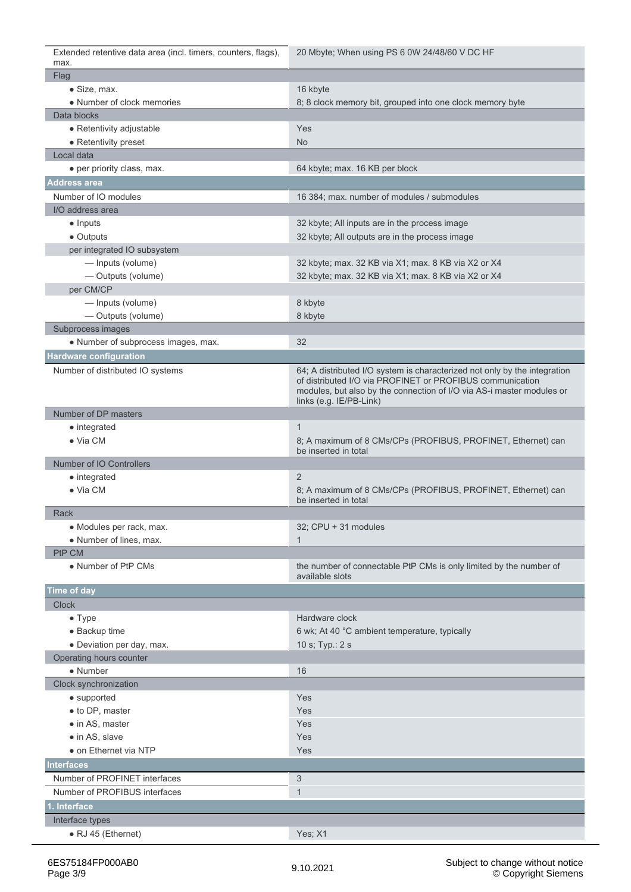Extended retentive data area (incl. timers, counters, flags), max. 20 Mbyte; When using PS 6 0W 24/48/60 V DC HF

| <b>Flag</b>                         |                                                                                                                                                                                                                                            |
|-------------------------------------|--------------------------------------------------------------------------------------------------------------------------------------------------------------------------------------------------------------------------------------------|
| · Size, max.                        | 16 kbyte                                                                                                                                                                                                                                   |
| • Number of clock memories          | 8; 8 clock memory bit, grouped into one clock memory byte                                                                                                                                                                                  |
| Data blocks                         |                                                                                                                                                                                                                                            |
| • Retentivity adjustable            | Yes                                                                                                                                                                                                                                        |
| • Retentivity preset                | <b>No</b>                                                                                                                                                                                                                                  |
| Local data                          |                                                                                                                                                                                                                                            |
| • per priority class, max.          | 64 kbyte; max. 16 KB per block                                                                                                                                                                                                             |
| <b>Address area</b>                 |                                                                                                                                                                                                                                            |
| Number of IO modules                | 16 384; max. number of modules / submodules                                                                                                                                                                                                |
| I/O address area                    |                                                                                                                                                                                                                                            |
| $\bullet$ Inputs                    | 32 kbyte; All inputs are in the process image                                                                                                                                                                                              |
| • Outputs                           | 32 kbyte; All outputs are in the process image                                                                                                                                                                                             |
| per integrated IO subsystem         |                                                                                                                                                                                                                                            |
| - Inputs (volume)                   | 32 kbyte; max. 32 KB via X1; max. 8 KB via X2 or X4                                                                                                                                                                                        |
| - Outputs (volume)                  | 32 kbyte; max. 32 KB via X1; max. 8 KB via X2 or X4                                                                                                                                                                                        |
| per CM/CP                           |                                                                                                                                                                                                                                            |
| - Inputs (volume)                   | 8 kbyte                                                                                                                                                                                                                                    |
| - Outputs (volume)                  | 8 kbyte                                                                                                                                                                                                                                    |
| Subprocess images                   |                                                                                                                                                                                                                                            |
| • Number of subprocess images, max. | 32                                                                                                                                                                                                                                         |
| <b>Hardware configuration</b>       |                                                                                                                                                                                                                                            |
| Number of distributed IO systems    | 64; A distributed I/O system is characterized not only by the integration<br>of distributed I/O via PROFINET or PROFIBUS communication<br>modules, but also by the connection of I/O via AS-i master modules or<br>links (e.g. IE/PB-Link) |
| Number of DP masters                |                                                                                                                                                                                                                                            |
| • integrated                        | $\mathbf{1}$                                                                                                                                                                                                                               |
| $\bullet$ Via CM                    | 8; A maximum of 8 CMs/CPs (PROFIBUS, PROFINET, Ethernet) can<br>be inserted in total                                                                                                                                                       |
| Number of IO Controllers            |                                                                                                                                                                                                                                            |
| • integrated                        | 2                                                                                                                                                                                                                                          |
| $\bullet$ Via CM                    | 8; A maximum of 8 CMs/CPs (PROFIBUS, PROFINET, Ethernet) can<br>be inserted in total                                                                                                                                                       |
| Rack                                |                                                                                                                                                                                                                                            |
| • Modules per rack, max.            | 32; CPU + 31 modules                                                                                                                                                                                                                       |
| • Number of lines, max.             | $\mathbf{1}$                                                                                                                                                                                                                               |
| PtP CM                              |                                                                                                                                                                                                                                            |
| • Number of PtP CMs                 | the number of connectable PtP CMs is only limited by the number of<br>available slots                                                                                                                                                      |
| Time of day                         |                                                                                                                                                                                                                                            |
| <b>Clock</b>                        |                                                                                                                                                                                                                                            |
| $\bullet$ Type                      | Hardware clock                                                                                                                                                                                                                             |
| • Backup time                       | 6 wk; At 40 °C ambient temperature, typically                                                                                                                                                                                              |
| · Deviation per day, max.           | 10 s; Typ.: 2 s                                                                                                                                                                                                                            |
| Operating hours counter             |                                                                                                                                                                                                                                            |
| • Number                            | 16                                                                                                                                                                                                                                         |
| Clock synchronization               |                                                                                                                                                                                                                                            |
| • supported                         | Yes                                                                                                                                                                                                                                        |
| • to DP, master                     | Yes                                                                                                                                                                                                                                        |
| • in AS, master                     | Yes                                                                                                                                                                                                                                        |
| $\bullet$ in AS, slave              | Yes                                                                                                                                                                                                                                        |
| • on Ethernet via NTP               | Yes                                                                                                                                                                                                                                        |
| <b>Interfaces</b>                   |                                                                                                                                                                                                                                            |
| Number of PROFINET interfaces       | 3                                                                                                                                                                                                                                          |
| Number of PROFIBUS interfaces       | $\mathbf{1}$                                                                                                                                                                                                                               |
| 1. Interface                        |                                                                                                                                                                                                                                            |
| Interface types                     |                                                                                                                                                                                                                                            |
| • RJ 45 (Ethernet)                  | Yes; X1                                                                                                                                                                                                                                    |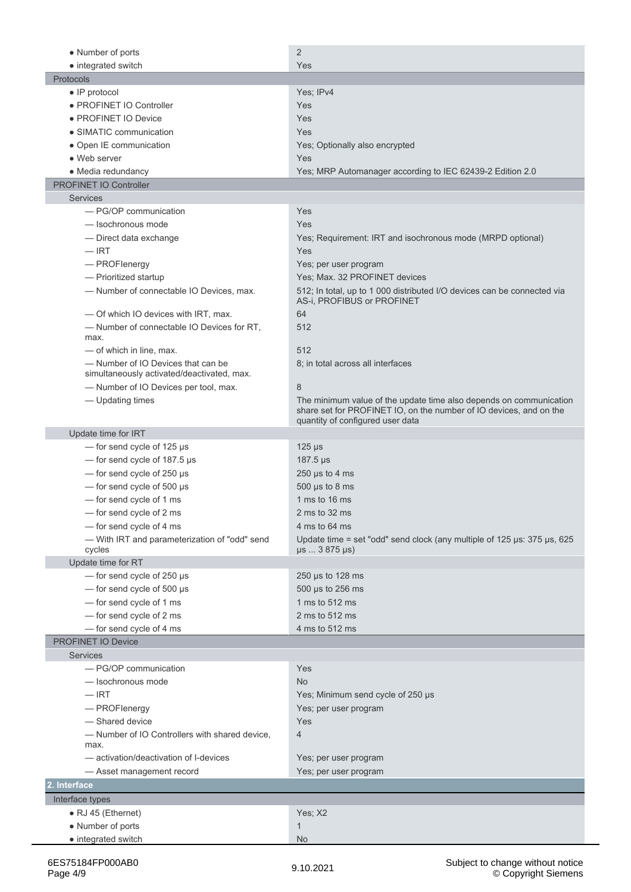| • Number of ports                                       | $\overline{2}$                                                                                                 |
|---------------------------------------------------------|----------------------------------------------------------------------------------------------------------------|
| • integrated switch                                     | Yes                                                                                                            |
| Protocols                                               |                                                                                                                |
| $\bullet$ IP protocol                                   | Yes; IPv4                                                                                                      |
| • PROFINET IO Controller                                | Yes                                                                                                            |
| • PROFINET IO Device                                    | Yes                                                                                                            |
| • SIMATIC communication                                 | Yes                                                                                                            |
| • Open IE communication                                 | Yes; Optionally also encrypted                                                                                 |
| • Web server                                            | Yes                                                                                                            |
| • Media redundancy                                      | Yes; MRP Automanager according to IEC 62439-2 Edition 2.0                                                      |
| <b>PROFINET IO Controller</b>                           |                                                                                                                |
| <b>Services</b>                                         |                                                                                                                |
| - PG/OP communication                                   | Yes                                                                                                            |
| -lsochronous mode                                       | Yes                                                                                                            |
| - Direct data exchange                                  | Yes; Requirement: IRT and isochronous mode (MRPD optional)                                                     |
| $-$ IRT                                                 | Yes                                                                                                            |
| - PROFlenergy                                           | Yes; per user program                                                                                          |
| - Prioritized startup                                   | Yes; Max. 32 PROFINET devices                                                                                  |
| - Number of connectable IO Devices, max.                | 512; In total, up to 1 000 distributed I/O devices can be connected via<br>AS-i, PROFIBUS or PROFINET          |
| - Of which IO devices with IRT, max.                    | 64                                                                                                             |
| - Number of connectable IO Devices for RT,<br>max.      | 512                                                                                                            |
| - of which in line, max.                                | 512                                                                                                            |
| — Number of IO Devices that can be                      | 8; in total across all interfaces                                                                              |
| simultaneously activated/deactivated, max.              |                                                                                                                |
| -Number of IO Devices per tool, max.                    | 8                                                                                                              |
| - Updating times                                        | The minimum value of the update time also depends on communication                                             |
|                                                         | share set for PROFINET IO, on the number of IO devices, and on the                                             |
| Update time for IRT                                     | quantity of configured user data                                                                               |
| - for send cycle of 125 µs                              | $125 \mu s$                                                                                                    |
|                                                         |                                                                                                                |
| - for send cycle of 187.5 µs                            | $187.5 \,\mu s$                                                                                                |
| $-$ for send cycle of 250 $\mu$ s                       | 250 $\mu$ s to 4 ms                                                                                            |
| $-$ for send cycle of 500 $\mu$ s                       | $500 \mu s$ to 8 ms<br>1 ms to 16 ms                                                                           |
| - for send cycle of 1 ms                                |                                                                                                                |
| -for send cycle of 2 ms                                 | 2 ms to 32 ms                                                                                                  |
| - for send cycle of 4 ms                                | 4 ms to 64 ms                                                                                                  |
| - With IRT and parameterization of "odd" send<br>cycles | Update time = set "odd" send clock (any multiple of $125 \mu s$ : 375 $\mu s$ , 625<br>$\mu s$ 3 875 $\mu s$ ) |
| Update time for RT                                      |                                                                                                                |
| - for send cycle of 250 µs                              | 250 $\mu$ s to 128 ms                                                                                          |
| $-$ for send cycle of 500 $\mu$ s                       | 500 µs to 256 ms                                                                                               |
| - for send cycle of 1 ms                                | 1 ms to 512 ms                                                                                                 |
| - for send cycle of 2 ms                                | 2 ms to 512 ms                                                                                                 |
| - for send cycle of 4 ms                                | 4 ms to 512 ms                                                                                                 |
| PROFINET IO Device                                      |                                                                                                                |
| <b>Services</b>                                         |                                                                                                                |
| - PG/OP communication                                   | Yes                                                                                                            |
| - Isochronous mode                                      | <b>No</b>                                                                                                      |
| $-$ IRT                                                 | Yes; Minimum send cycle of 250 µs                                                                              |
| - PROFlenergy                                           | Yes; per user program                                                                                          |
| - Shared device                                         | Yes                                                                                                            |
| - Number of IO Controllers with shared device,          | $\overline{4}$                                                                                                 |
| max.                                                    |                                                                                                                |
| - activation/deactivation of I-devices                  | Yes; per user program                                                                                          |
| - Asset management record                               | Yes; per user program                                                                                          |
| 2. Interface                                            |                                                                                                                |
| Interface types                                         |                                                                                                                |
| $\bullet$ RJ 45 (Ethernet)                              | Yes; X2                                                                                                        |
| • Number of ports                                       | $\mathbf{1}$                                                                                                   |
| • integrated switch                                     | <b>No</b>                                                                                                      |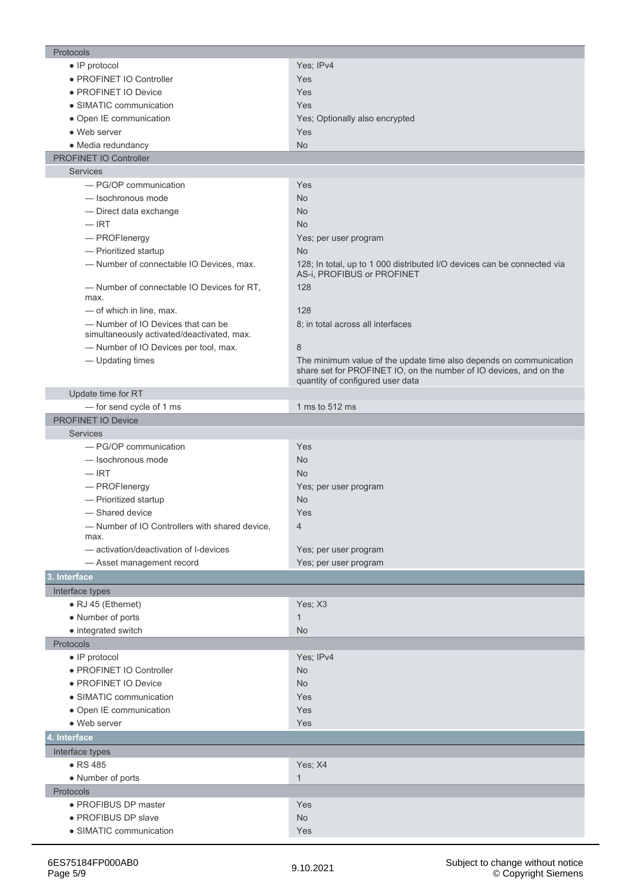| Protocols                                                                        |                                                                                                                                                                              |
|----------------------------------------------------------------------------------|------------------------------------------------------------------------------------------------------------------------------------------------------------------------------|
| $\bullet$ IP protocol                                                            | Yes; IPv4                                                                                                                                                                    |
| · PROFINET IO Controller                                                         | <b>Yes</b>                                                                                                                                                                   |
| • PROFINET IO Device                                                             | <b>Yes</b>                                                                                                                                                                   |
| • SIMATIC communication                                                          | Yes                                                                                                                                                                          |
| • Open IE communication                                                          | Yes; Optionally also encrypted                                                                                                                                               |
| • Web server                                                                     | <b>Yes</b>                                                                                                                                                                   |
| • Media redundancy                                                               | <b>No</b>                                                                                                                                                                    |
| PROFINET IO Controller                                                           |                                                                                                                                                                              |
| <b>Services</b>                                                                  |                                                                                                                                                                              |
| - PG/OP communication                                                            | Yes                                                                                                                                                                          |
| - Isochronous mode                                                               | <b>No</b>                                                                                                                                                                    |
| - Direct data exchange                                                           | <b>No</b>                                                                                                                                                                    |
| $-$ IRT                                                                          | <b>No</b>                                                                                                                                                                    |
| - PROFlenergy                                                                    | Yes; per user program                                                                                                                                                        |
| - Prioritized startup                                                            | <b>No</b>                                                                                                                                                                    |
| - Number of connectable IO Devices, max.                                         | 128; In total, up to 1 000 distributed I/O devices can be connected via<br>AS-i, PROFIBUS or PROFINET                                                                        |
| - Number of connectable IO Devices for RT,<br>max.                               | 128                                                                                                                                                                          |
| - of which in line, max.                                                         | 128                                                                                                                                                                          |
| - Number of IO Devices that can be<br>simultaneously activated/deactivated, max. | 8; in total across all interfaces                                                                                                                                            |
| - Number of IO Devices per tool, max.                                            | 8                                                                                                                                                                            |
| - Updating times                                                                 | The minimum value of the update time also depends on communication<br>share set for PROFINET IO, on the number of IO devices, and on the<br>quantity of configured user data |
| Update time for RT                                                               |                                                                                                                                                                              |
| - for send cycle of 1 ms                                                         | 1 ms to 512 ms                                                                                                                                                               |
| PROFINET IO Device                                                               |                                                                                                                                                                              |
| <b>Services</b>                                                                  |                                                                                                                                                                              |
| - PG/OP communication                                                            | Yes                                                                                                                                                                          |
| - Isochronous mode                                                               | <b>No</b>                                                                                                                                                                    |
| $-$ IRT                                                                          | <b>No</b>                                                                                                                                                                    |
| - PROFlenergy                                                                    | Yes; per user program                                                                                                                                                        |
| - Prioritized startup                                                            | <b>No</b>                                                                                                                                                                    |
| - Shared device                                                                  | <b>Yes</b>                                                                                                                                                                   |
| - Number of IO Controllers with shared device,                                   | 4                                                                                                                                                                            |
| max.                                                                             |                                                                                                                                                                              |
| - activation/deactivation of I-devices                                           | Yes; per user program                                                                                                                                                        |
| - Asset management record                                                        | Yes; per user program                                                                                                                                                        |
| 3. Interface                                                                     |                                                                                                                                                                              |
| Interface types                                                                  |                                                                                                                                                                              |
| • RJ 45 (Ethernet)                                                               | Yes; X3                                                                                                                                                                      |
| • Number of ports                                                                | $\mathbf{1}$                                                                                                                                                                 |
| • integrated switch                                                              | <b>No</b>                                                                                                                                                                    |
| Protocols                                                                        |                                                                                                                                                                              |
| $\bullet$ IP protocol                                                            | Yes; IPv4                                                                                                                                                                    |
| · PROFINET IO Controller                                                         | No                                                                                                                                                                           |
| · PROFINET IO Device                                                             | No                                                                                                                                                                           |
| • SIMATIC communication                                                          | Yes                                                                                                                                                                          |
| • Open IE communication                                                          | Yes                                                                                                                                                                          |
| • Web server                                                                     | <b>Yes</b>                                                                                                                                                                   |
| 4. Interface                                                                     |                                                                                                                                                                              |
|                                                                                  |                                                                                                                                                                              |
| Interface types                                                                  |                                                                                                                                                                              |
| $\bullet$ RS 485                                                                 | Yes; X4                                                                                                                                                                      |
| • Number of ports                                                                | $\mathbf{1}$                                                                                                                                                                 |
| Protocols                                                                        |                                                                                                                                                                              |
| · PROFIBUS DP master                                                             | Yes                                                                                                                                                                          |
| • PROFIBUS DP slave                                                              | <b>No</b>                                                                                                                                                                    |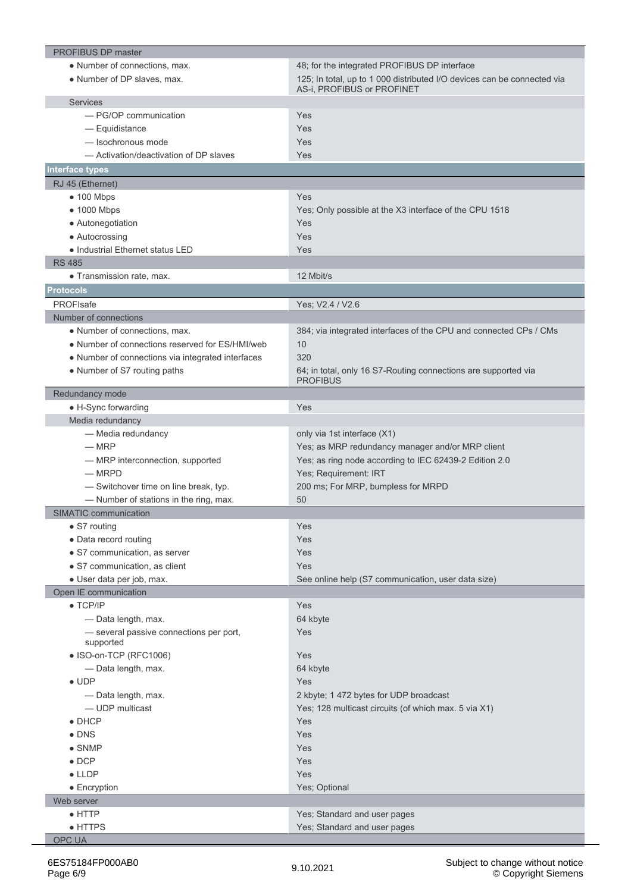| <b>PROFIBUS DP master</b>                         |                                                                         |
|---------------------------------------------------|-------------------------------------------------------------------------|
| • Number of connections, max.                     | 48; for the integrated PROFIBUS DP interface                            |
| • Number of DP slaves, max.                       | 125; In total, up to 1 000 distributed I/O devices can be connected via |
|                                                   | AS-i, PROFIBUS or PROFINET                                              |
| <b>Services</b>                                   |                                                                         |
| - PG/OP communication                             | Yes                                                                     |
| - Equidistance                                    | Yes                                                                     |
| - Isochronous mode                                | Yes                                                                     |
| - Activation/deactivation of DP slaves            | Yes                                                                     |
| Interface types                                   |                                                                         |
| RJ 45 (Ethernet)                                  |                                                                         |
| $\bullet$ 100 Mbps                                | Yes                                                                     |
| • 1000 Mbps                                       | Yes; Only possible at the X3 interface of the CPU 1518                  |
| • Autonegotiation                                 | Yes                                                                     |
| • Autocrossing                                    | Yes                                                                     |
| • Industrial Ethernet status LED                  | Yes                                                                     |
| <b>RS 485</b>                                     |                                                                         |
| • Transmission rate, max.                         | 12 Mbit/s                                                               |
| <b>Protocols</b>                                  |                                                                         |
| <b>PROFIsafe</b>                                  | Yes; V2.4 / V2.6                                                        |
| Number of connections                             |                                                                         |
| • Number of connections, max.                     | 384; via integrated interfaces of the CPU and connected CPs / CMs       |
| • Number of connections reserved for ES/HMI/web   | 10                                                                      |
| • Number of connections via integrated interfaces | 320                                                                     |
| • Number of S7 routing paths                      | 64; in total, only 16 S7-Routing connections are supported via          |
|                                                   | <b>PROFIBUS</b>                                                         |
| Redundancy mode                                   |                                                                         |
| • H-Sync forwarding                               | Yes                                                                     |
| Media redundancy                                  |                                                                         |
| - Media redundancy                                | only via 1st interface (X1)                                             |
| $-MRP$                                            | Yes; as MRP redundancy manager and/or MRP client                        |
| - MRP interconnection, supported                  | Yes; as ring node according to IEC 62439-2 Edition 2.0                  |
| $-$ MRPD                                          | Yes; Requirement: IRT                                                   |
| - Switchover time on line break, typ.             | 200 ms; For MRP, bumpless for MRPD                                      |
| - Number of stations in the ring, max.            | 50                                                                      |
| <b>SIMATIC communication</b>                      |                                                                         |
| • S7 routing                                      | Yes                                                                     |
| • Data record routing                             | Yes                                                                     |
| • S7 communication, as server                     | Yes                                                                     |
| • S7 communication, as client                     | Yes                                                                     |
| · User data per job, max.                         | See online help (S7 communication, user data size)                      |
| Open IE communication                             |                                                                         |
| $\bullet$ TCP/IP                                  | Yes                                                                     |
| - Data length, max.                               | 64 kbyte                                                                |
| - several passive connections per port,           | Yes                                                                     |
| supported                                         |                                                                         |
| • ISO-on-TCP (RFC1006)                            | Yes                                                                     |
| - Data length, max.                               | 64 kbyte                                                                |
| $\bullet$ UDP                                     | Yes                                                                     |
| - Data length, max.                               | 2 kbyte; 1 472 bytes for UDP broadcast                                  |
| - UDP multicast                                   | Yes; 128 multicast circuits (of which max. 5 via X1)                    |
| $\bullet$ DHCP                                    | Yes                                                                     |
| $\bullet$ DNS                                     | Yes                                                                     |
| $\bullet$ SNMP                                    | Yes                                                                     |
| $\bullet$ DCP                                     | Yes                                                                     |
| $\bullet$ LLDP                                    | Yes                                                                     |
| • Encryption                                      | Yes; Optional                                                           |
| Web server                                        |                                                                         |
| $\bullet$ HTTP                                    | Yes; Standard and user pages                                            |
| $\bullet$ HTTPS                                   | Yes; Standard and user pages                                            |
| <b>OPC UA</b>                                     |                                                                         |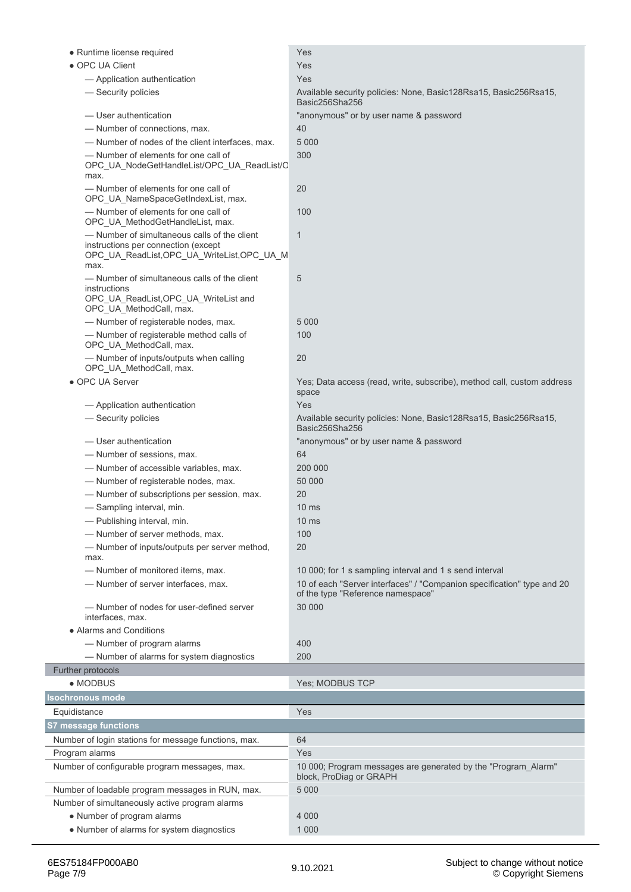| • Runtime license required                                                                                                               | Yes                                                                                                         |
|------------------------------------------------------------------------------------------------------------------------------------------|-------------------------------------------------------------------------------------------------------------|
| • OPC UA Client                                                                                                                          | Yes                                                                                                         |
| - Application authentication                                                                                                             | Yes                                                                                                         |
| - Security policies                                                                                                                      | Available security policies: None, Basic128Rsa15, Basic256Rsa15,<br>Basic256Sha256                          |
| - User authentication                                                                                                                    | "anonymous" or by user name & password                                                                      |
| - Number of connections, max.                                                                                                            | 40                                                                                                          |
| -Number of nodes of the client interfaces, max.                                                                                          | 5 0 0 0                                                                                                     |
| - Number of elements for one call of<br>OPC_UA_NodeGetHandleList/OPC_UA_ReadList/C<br>max.                                               | 300                                                                                                         |
| - Number of elements for one call of<br>OPC_UA_NameSpaceGetIndexList, max.                                                               | 20                                                                                                          |
| - Number of elements for one call of<br>OPC_UA_MethodGetHandleList, max.                                                                 | 100                                                                                                         |
| - Number of simultaneous calls of the client<br>instructions per connection (except<br>OPC_UA_ReadList,OPC_UA_WriteList,OPC_UA_M<br>max. | $\mathbf 1$                                                                                                 |
| - Number of simultaneous calls of the client<br>instructions                                                                             | 5                                                                                                           |
| OPC_UA_ReadList, OPC_UA_WriteList and<br>OPC UA MethodCall, max.                                                                         |                                                                                                             |
| -Number of registerable nodes, max.                                                                                                      | 5 0 0 0                                                                                                     |
| -Number of registerable method calls of<br>OPC_UA_MethodCall, max.                                                                       | 100                                                                                                         |
| - Number of inputs/outputs when calling<br>OPC_UA_MethodCall, max.                                                                       | 20                                                                                                          |
| • OPC UA Server                                                                                                                          | Yes; Data access (read, write, subscribe), method call, custom address<br>space                             |
| - Application authentication                                                                                                             | Yes                                                                                                         |
| - Security policies                                                                                                                      | Available security policies: None, Basic128Rsa15, Basic256Rsa15,<br>Basic256Sha256                          |
| - User authentication                                                                                                                    | "anonymous" or by user name & password                                                                      |
| - Number of sessions, max.                                                                                                               | 64                                                                                                          |
| - Number of accessible variables, max.                                                                                                   | 200 000                                                                                                     |
| -Number of registerable nodes, max.                                                                                                      | 50 000                                                                                                      |
| - Number of subscriptions per session, max.                                                                                              | 20                                                                                                          |
| — Sampling interval, min.                                                                                                                | 10 <sub>ms</sub>                                                                                            |
| - Publishing interval, min.                                                                                                              | 10 <sub>ms</sub>                                                                                            |
| - Number of server methods, max.                                                                                                         | 100                                                                                                         |
| -Number of inputs/outputs per server method,<br>max.                                                                                     | 20                                                                                                          |
| -Number of monitored items, max.                                                                                                         | 10 000; for 1 s sampling interval and 1 s send interval                                                     |
| - Number of server interfaces, max.                                                                                                      | 10 of each "Server interfaces" / "Companion specification" type and 20<br>of the type "Reference namespace" |
| - Number of nodes for user-defined server<br>interfaces, max.                                                                            | 30 000                                                                                                      |
| • Alarms and Conditions                                                                                                                  |                                                                                                             |
| - Number of program alarms                                                                                                               | 400                                                                                                         |
| - Number of alarms for system diagnostics                                                                                                | 200                                                                                                         |
| Further protocols                                                                                                                        |                                                                                                             |
| • MODBUS                                                                                                                                 | Yes; MODBUS TCP                                                                                             |
| <b>Isochronous mode</b>                                                                                                                  |                                                                                                             |
| Equidistance                                                                                                                             | Yes                                                                                                         |
| <b>S7 message functions</b>                                                                                                              |                                                                                                             |
| Number of login stations for message functions, max.                                                                                     | 64                                                                                                          |
| Program alarms                                                                                                                           | Yes                                                                                                         |
| Number of configurable program messages, max.                                                                                            | 10 000; Program messages are generated by the "Program_Alarm"<br>block, ProDiag or GRAPH                    |
| Number of loadable program messages in RUN, max.                                                                                         | 5 0 0 0                                                                                                     |
| Number of simultaneously active program alarms                                                                                           |                                                                                                             |
| • Number of program alarms                                                                                                               | 4 0 0 0                                                                                                     |
| • Number of alarms for system diagnostics                                                                                                | 1 0 0 0                                                                                                     |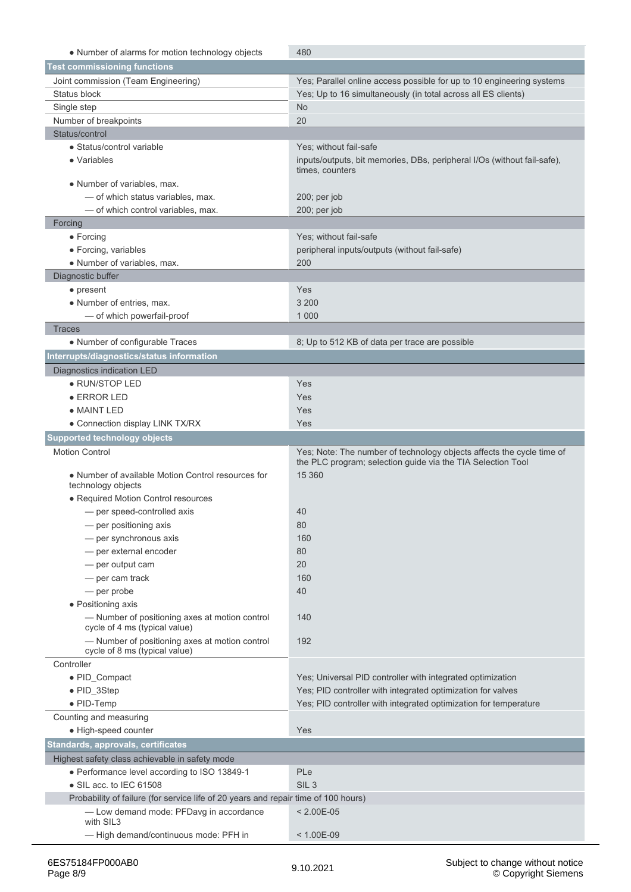| • Number of alarms for motion technology objects                                              | 480                                                                                                                                  |
|-----------------------------------------------------------------------------------------------|--------------------------------------------------------------------------------------------------------------------------------------|
| <b>Test commissioning functions</b>                                                           |                                                                                                                                      |
|                                                                                               |                                                                                                                                      |
| Joint commission (Team Engineering)<br>Status block                                           | Yes; Parallel online access possible for up to 10 engineering systems                                                                |
| Single step                                                                                   | Yes; Up to 16 simultaneously (in total across all ES clients)<br><b>No</b>                                                           |
| Number of breakpoints                                                                         | 20                                                                                                                                   |
| Status/control                                                                                |                                                                                                                                      |
| • Status/control variable                                                                     | Yes: without fail-safe                                                                                                               |
| • Variables                                                                                   | inputs/outputs, bit memories, DBs, peripheral I/Os (without fail-safe),                                                              |
|                                                                                               | times. counters                                                                                                                      |
| • Number of variables, max.                                                                   |                                                                                                                                      |
| - of which status variables, max.                                                             | $200$ ; per job                                                                                                                      |
| - of which control variables, max.                                                            | 200; per job                                                                                                                         |
| Forcing                                                                                       |                                                                                                                                      |
| $\bullet$ Forcing                                                                             | Yes; without fail-safe                                                                                                               |
| • Forcing, variables                                                                          | peripheral inputs/outputs (without fail-safe)                                                                                        |
| • Number of variables, max.                                                                   | 200                                                                                                                                  |
| Diagnostic buffer                                                                             |                                                                                                                                      |
| • present                                                                                     | Yes                                                                                                                                  |
| • Number of entries, max.                                                                     | 3 200                                                                                                                                |
| - of which powerfail-proof                                                                    | 1 0 0 0                                                                                                                              |
| <b>Traces</b>                                                                                 |                                                                                                                                      |
| • Number of configurable Traces                                                               | 8; Up to 512 KB of data per trace are possible                                                                                       |
| Interrupts/diagnostics/status information                                                     |                                                                                                                                      |
| Diagnostics indication LED                                                                    |                                                                                                                                      |
| • RUN/STOP LED                                                                                | Yes                                                                                                                                  |
| $\bullet$ ERROR LED                                                                           | Yes                                                                                                                                  |
| • MAINT LED                                                                                   | Yes                                                                                                                                  |
| • Connection display LINK TX/RX                                                               | Yes                                                                                                                                  |
| <b>Supported technology objects</b>                                                           |                                                                                                                                      |
|                                                                                               |                                                                                                                                      |
|                                                                                               |                                                                                                                                      |
| <b>Motion Control</b>                                                                         | Yes; Note: The number of technology objects affects the cycle time of<br>the PLC program; selection guide via the TIA Selection Tool |
| • Number of available Motion Control resources for<br>technology objects                      | 15 360                                                                                                                               |
| · Required Motion Control resources                                                           |                                                                                                                                      |
| - per speed-controlled axis                                                                   | 40                                                                                                                                   |
| - per positioning axis                                                                        | 80                                                                                                                                   |
| - per synchronous axis                                                                        | 160                                                                                                                                  |
| - per external encoder                                                                        | 80                                                                                                                                   |
|                                                                                               | 20                                                                                                                                   |
| - per output cam                                                                              | 160                                                                                                                                  |
| - per cam track<br>— per probe                                                                | 40                                                                                                                                   |
|                                                                                               |                                                                                                                                      |
| • Positioning axis<br>- Number of positioning axes at motion control                          | 140                                                                                                                                  |
| cycle of 4 ms (typical value)<br>- Number of positioning axes at motion control               | 192                                                                                                                                  |
| cycle of 8 ms (typical value)                                                                 |                                                                                                                                      |
| Controller                                                                                    |                                                                                                                                      |
| • PID_Compact                                                                                 | Yes; Universal PID controller with integrated optimization                                                                           |
| • PID_3Step                                                                                   | Yes; PID controller with integrated optimization for valves                                                                          |
| • PID-Temp                                                                                    | Yes; PID controller with integrated optimization for temperature                                                                     |
| Counting and measuring                                                                        |                                                                                                                                      |
| · High-speed counter                                                                          | Yes                                                                                                                                  |
| Standards, approvals, certificates                                                            |                                                                                                                                      |
| Highest safety class achievable in safety mode                                                |                                                                                                                                      |
| • Performance level according to ISO 13849-1                                                  | PLe                                                                                                                                  |
| $\bullet$ SIL acc. to IEC 61508                                                               | SIL <sub>3</sub>                                                                                                                     |
| Probability of failure (for service life of 20 years and repair time of 100 hours)            |                                                                                                                                      |
| - Low demand mode: PFDavg in accordance<br>with SIL3<br>- High demand/continuous mode: PFH in | $< 2.00E-05$<br>$< 1.00E-09$                                                                                                         |